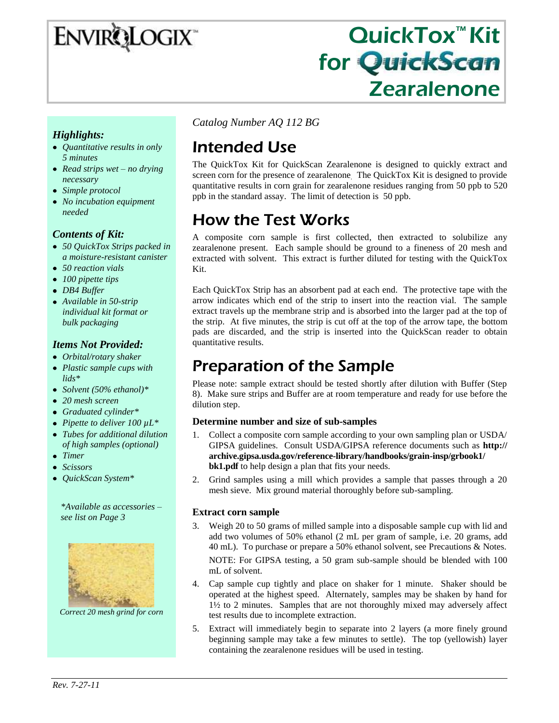# ENVIRQLOGIX

# QuickTox™ Kit for QuickScan Zearalenone

#### *Highlights:*

- *Quantitative results in only 5 minutes*
- *Read strips wet – no drying necessary*
- *Simple protocol*
- *No incubation equipment needed*

#### *Contents of Kit:*

- *50 QuickTox Strips packed in a moisture-resistant canister*
- *50 reaction vials*
- *100 pipette tips*
- *DB4 Buffer*
- *Available in 50-strip individual kit format or bulk packaging*

#### *Items Not Provided:*

- *Orbital/rotary shaker*
- *Plastic sample cups with lids\**
- *Solvent (50% ethanol)\**
- *20 mesh screen*
- *Graduated cylinder\**
- *Pipette to deliver 100 µL\**
- *Tubes for additional dilution of high samples (optional)*
- *Timer*
- *Scissors*  $\bullet$
- *QuickScan System\**

*\*Available as accessories – see list on Page 3*



*Correct 20 mesh grind for corn*

*Catalog Number AQ 112 BG*

# Intended Use

The QuickTox Kit for QuickScan Zearalenone is designed to quickly extract and screen corn for the presence of zearalenone. The QuickTox Kit is designed to provide quantitative results in corn grain for zearalenone residues ranging from 50 ppb to 520 ppb in the standard assay. The limit of detection is 50 ppb.

# How the Test Works

A composite corn sample is first collected, then extracted to solubilize any zearalenone present. Each sample should be ground to a fineness of 20 mesh and extracted with solvent. This extract is further diluted for testing with the QuickTox Kit.

Each QuickTox Strip has an absorbent pad at each end. The protective tape with the arrow indicates which end of the strip to insert into the reaction vial. The sample extract travels up the membrane strip and is absorbed into the larger pad at the top of the strip. At five minutes, the strip is cut off at the top of the arrow tape, the bottom pads are discarded, and the strip is inserted into the QuickScan reader to obtain quantitative results.

# Preparation of the Sample

Please note: sample extract should be tested shortly after dilution with Buffer (Step 8). Make sure strips and Buffer are at room temperature and ready for use before the dilution step.

#### **Determine number and size of sub-samples**

- 1. Collect a composite corn sample according to your own sampling plan or USDA/ GIPSA guidelines. Consult USDA/GIPSA reference documents such as **http:// archive.gipsa.usda.gov/reference-library/handbooks/grain-insp/grbook1/ bk1.pdf** to help design a plan that fits your needs.
- 2. Grind samples using a mill which provides a sample that passes through a 20 mesh sieve. Mix ground material thoroughly before sub-sampling.

#### **Extract corn sample**

3. Weigh 20 to 50 grams of milled sample into a disposable sample cup with lid and add two volumes of 50% ethanol (2 mL per gram of sample, i.e. 20 grams, add 40 mL). To purchase or prepare a 50% ethanol solvent, see Precautions & Notes.

NOTE: For GIPSA testing, a 50 gram sub-sample should be blended with 100 mL of solvent.

- 4. Cap sample cup tightly and place on shaker for 1 minute. Shaker should be operated at the highest speed. Alternately, samples may be shaken by hand for 1½ to 2 minutes. Samples that are not thoroughly mixed may adversely affect test results due to incomplete extraction.
- 5. Extract will immediately begin to separate into 2 layers (a more finely ground beginning sample may take a few minutes to settle). The top (yellowish) layer containing the zearalenone residues will be used in testing.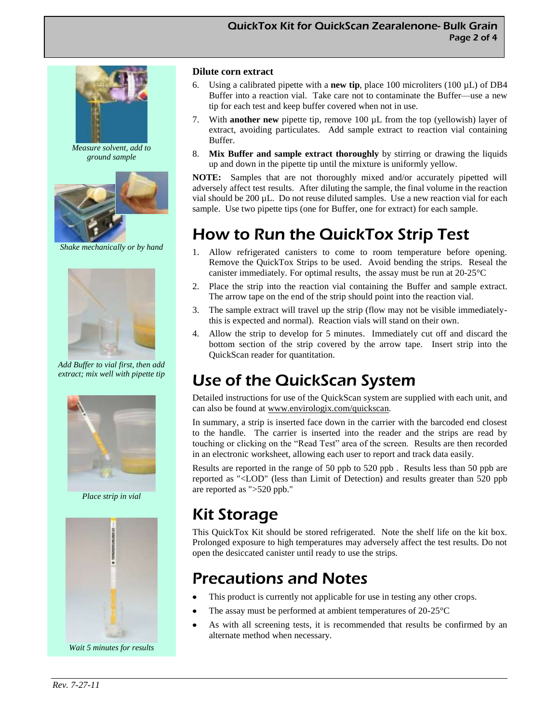

*Measure solvent, add to ground sample*



*Shake mechanically or by hand*



*Add Buffer to vial first, then add extract; mix well with pipette tip*



*Place strip in vial*



*Wait 5 minutes for results*

#### **Dilute corn extract**

- 6. Using a calibrated pipette with a **new tip**, place 100 microliters (100 µL) of DB4 Buffer into a reaction vial. Take care not to contaminate the Buffer—use a new tip for each test and keep buffer covered when not in use.
- 7. With **another new** pipette tip, remove 100 µL from the top (yellowish) layer of extract, avoiding particulates. Add sample extract to reaction vial containing Buffer.
- 8. **Mix Buffer and sample extract thoroughly** by stirring or drawing the liquids up and down in the pipette tip until the mixture is uniformly yellow.

**NOTE:** Samples that are not thoroughly mixed and/or accurately pipetted will adversely affect test results. After diluting the sample, the final volume in the reaction vial should be 200 µL. Do not reuse diluted samples. Use a new reaction vial for each sample. Use two pipette tips (one for Buffer, one for extract) for each sample.

## How to Run the QuickTox Strip Test

- 1. Allow refrigerated canisters to come to room temperature before opening. Remove the QuickTox Strips to be used. Avoid bending the strips. Reseal the canister immediately. For optimal results, the assay must be run at 20-25°C
- 2. Place the strip into the reaction vial containing the Buffer and sample extract. The arrow tape on the end of the strip should point into the reaction vial.
- 3. The sample extract will travel up the strip (flow may not be visible immediatelythis is expected and normal). Reaction vials will stand on their own.
- 4. Allow the strip to develop for 5 minutes. Immediately cut off and discard the bottom section of the strip covered by the arrow tape. Insert strip into the QuickScan reader for quantitation.

# Use of the QuickScan System

Detailed instructions for use of the QuickScan system are supplied with each unit, and can also be found at www.envirologix.com/quickscan.

In summary, a strip is inserted face down in the carrier with the barcoded end closest to the handle. The carrier is inserted into the reader and the strips are read by touching or clicking on the "Read Test" area of the screen. Results are then recorded in an electronic worksheet, allowing each user to report and track data easily.

Results are reported in the range of 50 ppb to 520 ppb . Results less than 50 ppb are reported as "<LOD" (less than Limit of Detection) and results greater than 520 ppb are reported as ">520 ppb."

# Kit Storage

This QuickTox Kit should be stored refrigerated. Note the shelf life on the kit box. Prolonged exposure to high temperatures may adversely affect the test results. Do not open the desiccated canister until ready to use the strips.

## Precautions and Notes

- This product is currently not applicable for use in testing any other crops.
- The assay must be performed at ambient temperatures of 20-25°C
- As with all screening tests, it is recommended that results be confirmed by an alternate method when necessary.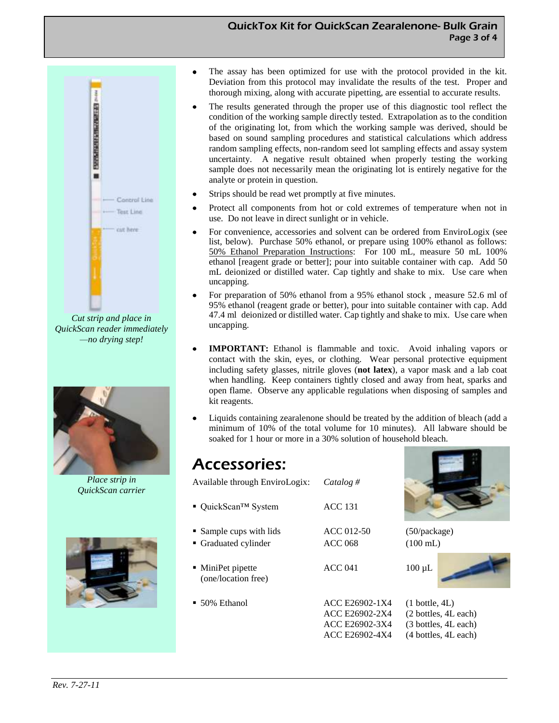#### QuickTox Kit for QuickScan Zearalenone- Bulk Grain Page 3 of 4



*Cut strip and place in QuickScan reader immediately —no drying step!*



*Place strip in QuickScan carrier*



- The assay has been optimized for use with the protocol provided in the kit. Deviation from this protocol may invalidate the results of the test. Proper and thorough mixing, along with accurate pipetting, are essential to accurate results.
- The results generated through the proper use of this diagnostic tool reflect the condition of the working sample directly tested. Extrapolation as to the condition of the originating lot, from which the working sample was derived, should be based on sound sampling procedures and statistical calculations which address random sampling effects, non-random seed lot sampling effects and assay system uncertainty. A negative result obtained when properly testing the working sample does not necessarily mean the originating lot is entirely negative for the analyte or protein in question.
- Strips should be read wet promptly at five minutes.
- Protect all components from hot or cold extremes of temperature when not in use. Do not leave in direct sunlight or in vehicle.
- For convenience, accessories and solvent can be ordered from EnviroLogix (see list, below). Purchase 50% ethanol, or prepare using 100% ethanol as follows: 50% Ethanol Preparation Instructions: For 100 mL, measure 50 mL 100% ethanol [reagent grade or better]; pour into suitable container with cap. Add 50 mL deionized or distilled water. Cap tightly and shake to mix. Use care when uncapping.
- For preparation of 50% ethanol from a 95% ethanol stock , measure 52.6 ml of 95% ethanol (reagent grade or better), pour into suitable container with cap. Add 47.4 ml deionized or distilled water. Cap tightly and shake to mix. Use care when uncapping.
- **IMPORTANT:** Ethanol is flammable and toxic. Avoid inhaling vapors or contact with the skin, eyes, or clothing. Wear personal protective equipment including safety glasses, nitrile gloves (**not latex**), a vapor mask and a lab coat when handling. Keep containers tightly closed and away from heat, sparks and open flame. Observe any applicable regulations when disposing of samples and kit reagents.
- Liquids containing zearalenone should be treated by the addition of bleach (add a minimum of 10% of the total volume for 10 minutes). All labware should be soaked for 1 hour or more in a 30% solution of household bleach.

### Accessories:

| Available through EnviroLogix:                | Catalog #                        |                             |
|-----------------------------------------------|----------------------------------|-----------------------------|
| $\blacksquare$ QuickScan <sup>TM</sup> System | <b>ACC 131</b>                   |                             |
| • Sample cups with lids                       | ACC 012-50                       | $(50)$ packa                |
| • Graduated cylinder                          | <b>ACC 068</b>                   | $(100 \text{ mL})$          |
| • MiniPet pipette<br>(one/location free)      | ACC <sub>041</sub>               | $100 \mu L$                 |
| $\bullet$ 50% Ethanol                         | ACC E26902-1X4<br>ACC E26902-2X4 | $(1)$ bottle,<br>(2 bottles |
|                                               | ACC E26902-3X4<br>ACC E26902-4X4 | (3 bottles<br>(4 bottles    |



package)

ottle, 4L) ottles, 4L each) ottles, 4L each) ottles, 4L each)